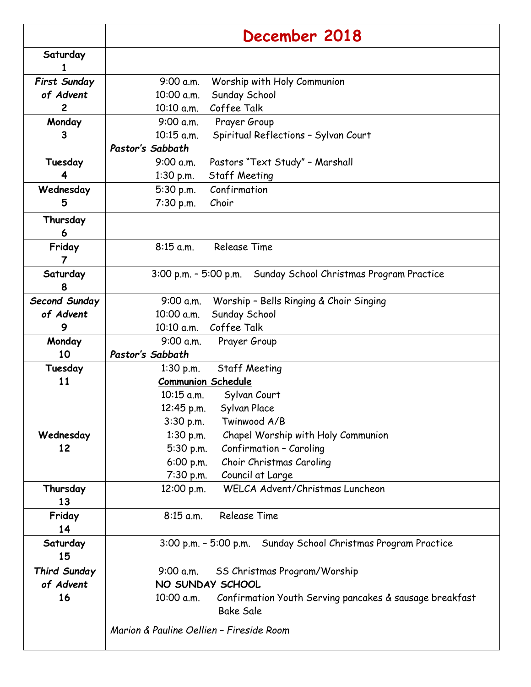|                     | December 2018                                                         |
|---------------------|-----------------------------------------------------------------------|
| Saturday            |                                                                       |
| 1                   |                                                                       |
| <b>First Sunday</b> | 9:00 a.m.<br>Worship with Holy Communion                              |
| of Advent           | Sunday School<br>10:00 a.m.                                           |
| $\overline{c}$      | Coffee Talk<br>10:10 a.m.                                             |
| Monday              | Prayer Group<br>9:00 a.m.                                             |
| 3                   | 10:15 a.m.<br>Spiritual Reflections - Sylvan Court                    |
|                     | Pastor's Sabbath                                                      |
| Tuesday             | Pastors "Text Study" - Marshall<br>9:00 a.m.                          |
| 4                   | 1:30 p.m.<br><b>Staff Meeting</b>                                     |
| Wednesday           | Confirmation<br>5:30 p.m.                                             |
| 5                   | 7:30 p.m.<br>Choir                                                    |
| Thursday            |                                                                       |
| 6                   |                                                                       |
| Friday              | <b>Release Time</b><br>$8:15$ a.m.                                    |
| 7                   |                                                                       |
| Saturday            | 3:00 p.m. - 5:00 p.m. Sunday School Christmas Program Practice        |
| 8                   |                                                                       |
| Second Sunday       | 9:00 a.m.<br>Worship - Bells Ringing & Choir Singing                  |
| of Advent           | Sunday School<br>10:00 a.m.                                           |
| 9                   | Coffee Talk<br>10:10 a.m.                                             |
| Monday              | 9:00 a.m.<br>Prayer Group                                             |
| 10                  | Pastor's Sabbath                                                      |
| Tuesday             | <b>Staff Meeting</b><br>$1:30$ p.m.                                   |
| 11                  | <b>Communion Schedule</b>                                             |
|                     | 10:15 a.m.<br>Sylvan Court                                            |
|                     | 12:45 p.m.<br>Sylvan Place                                            |
|                     | 3:30 p.m.<br>Twinwood A/B                                             |
| Wednesday           | Chapel Worship with Holy Communion<br>$1:30$ p.m.                     |
| 12                  | Confirmation - Caroling<br>5:30 p.m.                                  |
|                     | Choir Christmas Caroling<br>6:00 p.m.                                 |
|                     | 7:30 p.m.<br>Council at Large                                         |
| Thursday            | WELCA Advent/Christmas Luncheon<br>12:00 p.m.                         |
| 13                  |                                                                       |
| Friday              | <b>Release Time</b><br>$8:15$ a.m.                                    |
| 14                  |                                                                       |
| Saturday            | 3:00 p.m. - 5:00 p.m. Sunday School Christmas Program Practice        |
| 15                  |                                                                       |
| <b>Third Sunday</b> | 9:00 a.m.<br>SS Christmas Program/Worship                             |
| of Advent           | NO SUNDAY SCHOOL                                                      |
| 16                  | Confirmation Youth Serving pancakes & sausage breakfast<br>10:00 a.m. |
|                     | <b>Bake Sale</b>                                                      |
|                     | Marion & Pauline Oellien - Fireside Room                              |
|                     |                                                                       |